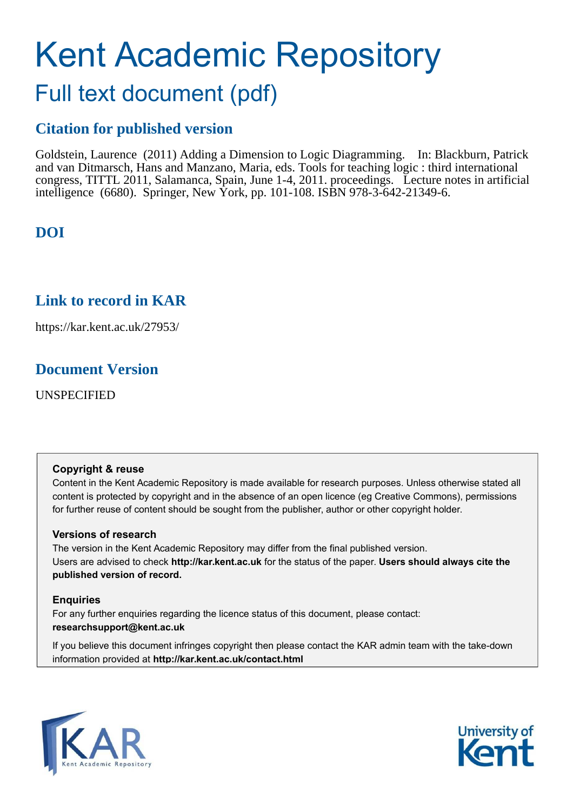# Kent Academic Repository Full text document (pdf)

### **Citation for published version**

Goldstein, Laurence (2011) Adding a Dimension to Logic Diagramming. In: Blackburn, Patrick and van Ditmarsch, Hans and Manzano, Maria, eds. Tools for teaching logic : third international congress, TITTL 2011, Salamanca, Spain, June 1-4, 2011. proceedings. Lecture notes in artificial intelligence (6680). Springer, New York, pp. 101-108. ISBN 978-3-642-21349-6.

## **DOI**

### **Link to record in KAR**

https://kar.kent.ac.uk/27953/

### **Document Version**

UNSPECIFIED

### **Copyright & reuse**

Content in the Kent Academic Repository is made available for research purposes. Unless otherwise stated all content is protected by copyright and in the absence of an open licence (eg Creative Commons), permissions for further reuse of content should be sought from the publisher, author or other copyright holder.

### **Versions of research**

The version in the Kent Academic Repository may differ from the final published version. Users are advised to check **http://kar.kent.ac.uk** for the status of the paper. **Users should always cite the published version of record.**

### **Enquiries**

For any further enquiries regarding the licence status of this document, please contact: **researchsupport@kent.ac.uk**

If you believe this document infringes copyright then please contact the KAR admin team with the take-down information provided at **http://kar.kent.ac.uk/contact.html**



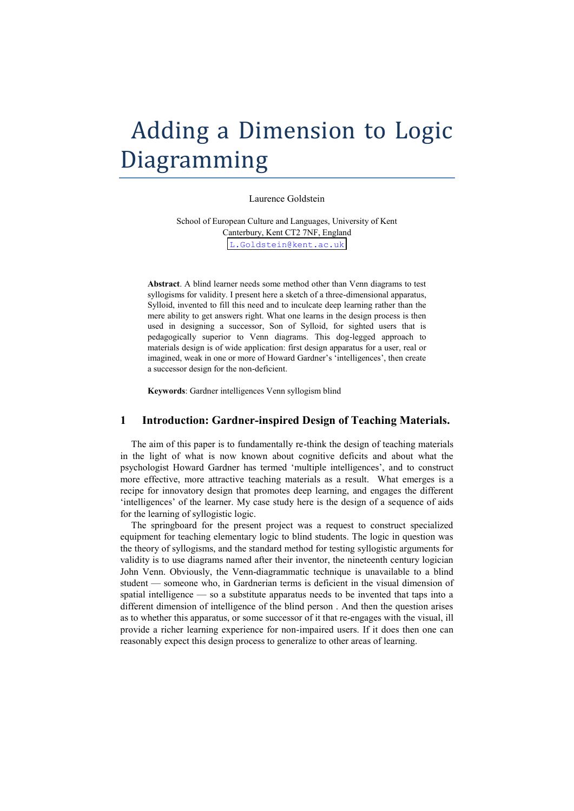## Adding a Dimension to Logic Diagramming

Laurence Goldstein

School of European Culture and Languages, University of Kent Canterbury, Kent CT2 7NF, England [L.Goldstein@kent.ac.uk](mailto:L.Goldstein@kent.ac.uk)

**Abstract**. A blind learner needs some method other than Venn diagrams to test syllogisms for validity. I present here a sketch of a three-dimensional apparatus, Sylloid, invented to fill this need and to inculcate deep learning rather than the mere ability to get answers right. What one learns in the design process is then used in designing a successor, Son of Sylloid, for sighted users that is pedagogically superior to Venn diagrams. This dog-legged approach to materials design is of wide application: first design apparatus for a user, real or imagined, weak in one or more of Howard Gardner's 'intelligences', then create a successor design for the non-deficient.

**Keywords**: Gardner intelligences Venn syllogism blind

#### **1 Introduction: Gardner-inspired Design of Teaching Materials.**

The aim of this paper is to fundamentally re-think the design of teaching materials in the light of what is now known about cognitive deficits and about what the psychologist Howard Gardner has termed 'multiple intelligences', and to construct more effective, more attractive teaching materials as a result. What emerges is a recipe for innovatory design that promotes deep learning, and engages the different 'intelligences' of the learner. My case study here is the design of a sequence of aids for the learning of syllogistic logic.

The springboard for the present project was a request to construct specialized equipment for teaching elementary logic to blind students. The logic in question was the theory of syllogisms, and the standard method for testing syllogistic arguments for validity is to use diagrams named after their inventor, the nineteenth century logician John Venn. Obviously, the Venn-diagrammatic technique is unavailable to a blind student — someone who, in Gardnerian terms is deficient in the visual dimension of spatial intelligence — so a substitute apparatus needs to be invented that taps into a different dimension of intelligence of the blind person . And then the question arises as to whether this apparatus, or some successor of it that re-engages with the visual, ill provide a richer learning experience for non-impaired users. If it does then one can reasonably expect this design process to generalize to other areas of learning.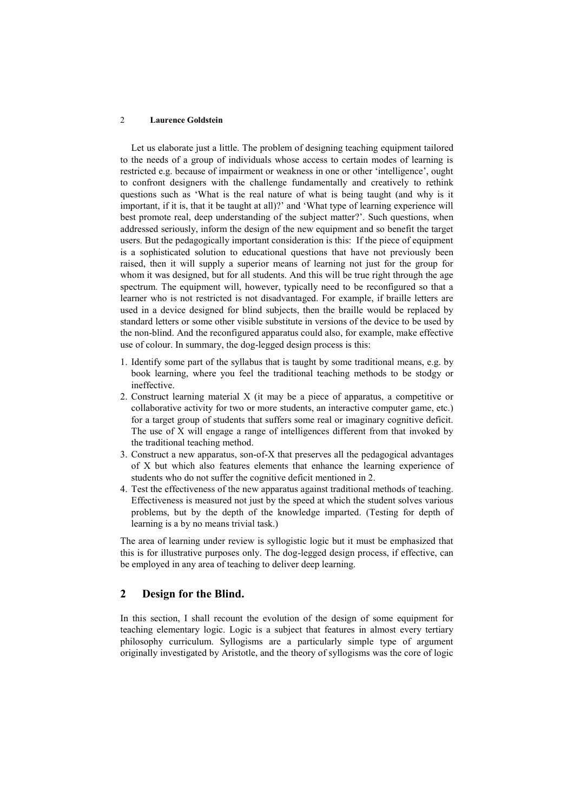Let us elaborate just a little. The problem of designing teaching equipment tailored to the needs of a group of individuals whose access to certain modes of learning is restricted e.g. because of impairment or weakness in one or other 'intelligence', ought to confront designers with the challenge fundamentally and creatively to rethink questions such as 'What is the real nature of what is being taught (and why is it important, if it is, that it be taught at all)?' and 'What type of learning experience will best promote real, deep understanding of the subject matter?'. Such questions, when addressed seriously, inform the design of the new equipment and so benefit the target users. But the pedagogically important consideration is this: If the piece of equipment is a sophisticated solution to educational questions that have not previously been raised, then it will supply a superior means of learning not just for the group for whom it was designed, but for all students. And this will be true right through the age spectrum. The equipment will, however, typically need to be reconfigured so that a learner who is not restricted is not disadvantaged. For example, if braille letters are used in a device designed for blind subjects, then the braille would be replaced by standard letters or some other visible substitute in versions of the device to be used by the non-blind. And the reconfigured apparatus could also, for example, make effective use of colour. In summary, the dog-legged design process is this:

- 1. Identify some part of the syllabus that is taught by some traditional means, e.g. by book learning, where you feel the traditional teaching methods to be stodgy or ineffective.
- 2. Construct learning material X (it may be a piece of apparatus, a competitive or collaborative activity for two or more students, an interactive computer game, etc.) for a target group of students that suffers some real or imaginary cognitive deficit. The use of X will engage a range of intelligences different from that invoked by the traditional teaching method.
- 3. Construct a new apparatus, son-of-X that preserves all the pedagogical advantages of X but which also features elements that enhance the learning experience of students who do not suffer the cognitive deficit mentioned in 2.
- 4. Test the effectiveness of the new apparatus against traditional methods of teaching. Effectiveness is measured not just by the speed at which the student solves various problems, but by the depth of the knowledge imparted. (Testing for depth of learning is a by no means trivial task.)

The area of learning under review is syllogistic logic but it must be emphasized that this is for illustrative purposes only. The dog-legged design process, if effective, can be employed in any area of teaching to deliver deep learning.

#### **2 Design for the Blind.**

In this section, I shall recount the evolution of the design of some equipment for teaching elementary logic. Logic is a subject that features in almost every tertiary philosophy curriculum. Syllogisms are a particularly simple type of argument originally investigated by Aristotle, and the theory of syllogisms was the core of logic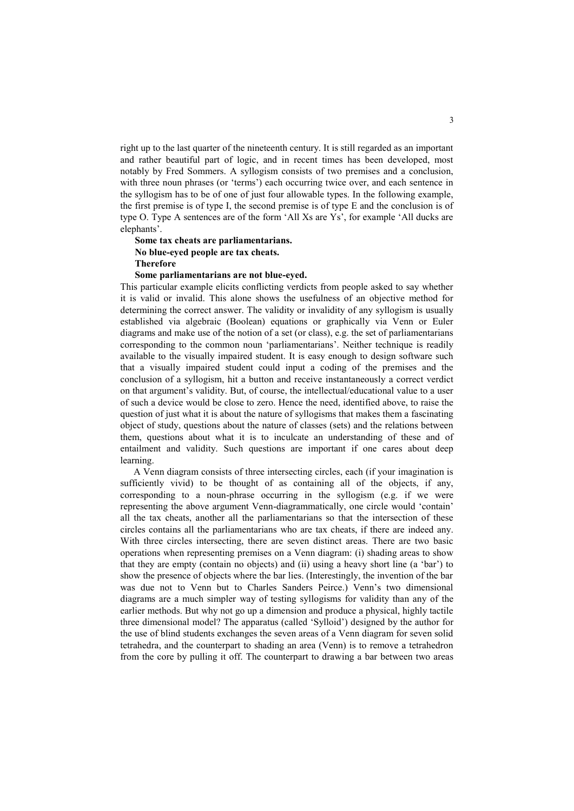right up to the last quarter of the nineteenth century. It is still regarded as an important and rather beautiful part of logic, and in recent times has been developed, most notably by Fred Sommers. A syllogism consists of two premises and a conclusion, with three noun phrases (or 'terms') each occurring twice over, and each sentence in the syllogism has to be of one of just four allowable types. In the following example, the first premise is of type I, the second premise is of type E and the conclusion is of type O. Type A sentences are of the form 'All Xs are Ys', for example 'All ducks are elephants'.

#### **Some tax cheats are parliamentarians. No blue-eyed people are tax cheats. Therefore**

#### **Some parliamentarians are not blue-eyed.**

This particular example elicits conflicting verdicts from people asked to say whether it is valid or invalid. This alone shows the usefulness of an objective method for determining the correct answer. The validity or invalidity of any syllogism is usually established via algebraic (Boolean) equations or graphically via Venn or Euler diagrams and make use of the notion of a set (or class), e.g. the set of parliamentarians corresponding to the common noun 'parliamentarians'. Neither technique is readily available to the visually impaired student. It is easy enough to design software such that a visually impaired student could input a coding of the premises and the conclusion of a syllogism, hit a button and receive instantaneously a correct verdict on that argument's validity. But, of course, the intellectual/educational value to a user of such a device would be close to zero. Hence the need, identified above, to raise the question of just what it is about the nature of syllogisms that makes them a fascinating object of study, questions about the nature of classes (sets) and the relations between them, questions about what it is to inculcate an understanding of these and of entailment and validity. Such questions are important if one cares about deep learning.

 A Venn diagram consists of three intersecting circles, each (if your imagination is sufficiently vivid) to be thought of as containing all of the objects, if any, corresponding to a noun-phrase occurring in the syllogism (e.g. if we were representing the above argument Venn-diagrammatically, one circle would 'contain' all the tax cheats, another all the parliamentarians so that the intersection of these circles contains all the parliamentarians who are tax cheats, if there are indeed any. With three circles intersecting, there are seven distinct areas. There are two basic operations when representing premises on a Venn diagram: (i) shading areas to show that they are empty (contain no objects) and (ii) using a heavy short line (a 'bar') to show the presence of objects where the bar lies. (Interestingly, the invention of the bar was due not to Venn but to Charles Sanders Peirce.) Venn's two dimensional diagrams are a much simpler way of testing syllogisms for validity than any of the earlier methods. But why not go up a dimension and produce a physical, highly tactile three dimensional model? The apparatus (called 'Sylloid') designed by the author for the use of blind students exchanges the seven areas of a Venn diagram for seven solid tetrahedra, and the counterpart to shading an area (Venn) is to remove a tetrahedron from the core by pulling it off. The counterpart to drawing a bar between two areas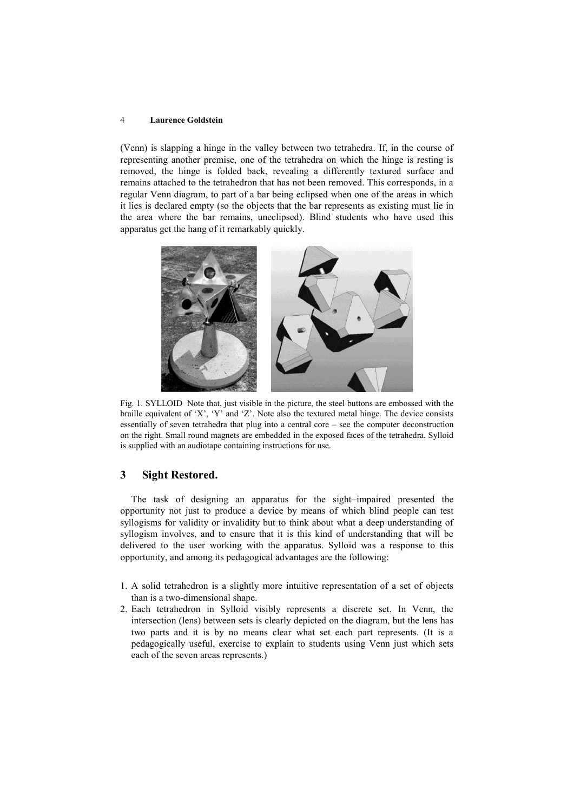(Venn) is slapping a hinge in the valley between two tetrahedra. If, in the course of representing another premise, one of the tetrahedra on which the hinge is resting is removed, the hinge is folded back, revealing a differently textured surface and remains attached to the tetrahedron that has not been removed. This corresponds, in a regular Venn diagram, to part of a bar being eclipsed when one of the areas in which it lies is declared empty (so the objects that the bar represents as existing must lie in the area where the bar remains, uneclipsed). Blind students who have used this apparatus get the hang of it remarkably quickly.



Fig. 1. SYLLOID Note that, just visible in the picture, the steel buttons are embossed with the braille equivalent of 'X', 'Y' and 'Z'. Note also the textured metal hinge. The device consists essentially of seven tetrahedra that plug into a central core – see the computer deconstruction on the right. Small round magnets are embedded in the exposed faces of the tetrahedra. Sylloid is supplied with an audiotape containing instructions for use.

#### **3 Sight Restored.**

The task of designing an apparatus for the sight–impaired presented the opportunity not just to produce a device by means of which blind people can test syllogisms for validity or invalidity but to think about what a deep understanding of syllogism involves, and to ensure that it is this kind of understanding that will be delivered to the user working with the apparatus. Sylloid was a response to this opportunity, and among its pedagogical advantages are the following:

- 1. A solid tetrahedron is a slightly more intuitive representation of a set of objects than is a two-dimensional shape.
- 2. Each tetrahedron in Sylloid visibly represents a discrete set. In Venn, the intersection (lens) between sets is clearly depicted on the diagram, but the lens has two parts and it is by no means clear what set each part represents. (It is a pedagogically useful, exercise to explain to students using Venn just which sets each of the seven areas represents.)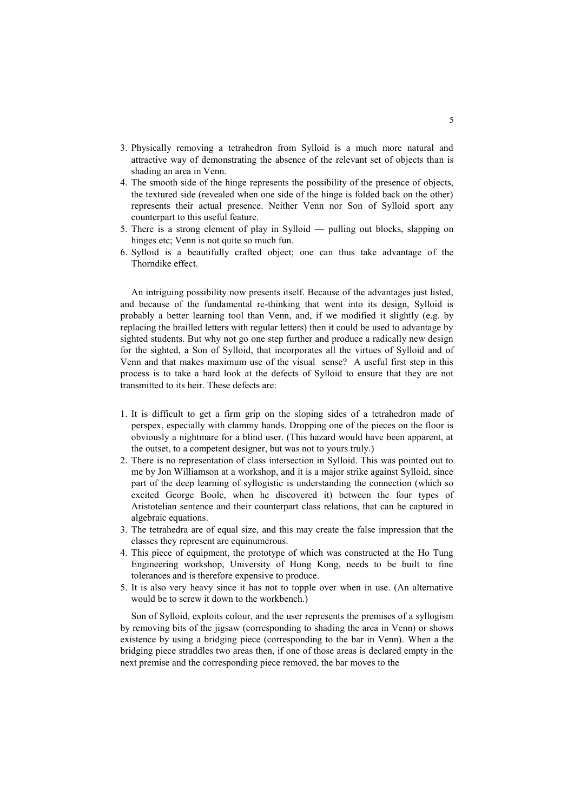- 3. Physically removing a tetrahedron from Sylloid is a much more natural and attractive way of demonstrating the absence of the relevant set of objects than is shading an area in Venn.
- 4. The smooth side of the hinge represents the possibility of the presence of objects, the textured side (revealed when one side of the hinge is folded back on the other) represents their actual presence. Neither Venn nor Son of Sylloid sport any counterpart to this useful feature.
- 5. There is a strong element of play in Sylloid pulling out blocks, slapping on hinges etc: Venn is not quite so much fun.
- 6. Sylloid is a beautifully crafted object; one can thus take advantage of the Thorndike effect.

An intriguing possibility now presents itself. Because of the advantages just listed, and because of the fundamental re-thinking that went into its design, Sylloid is probably a better learning tool than Venn, and, if we modified it slightly (e.g. by replacing the brailled letters with regular letters) then it could be used to advantage by sighted students. But why not go one step further and produce a radically new design for the sighted, a Son of Sylloid, that incorporates all the virtues of Sylloid and of Venn and that makes maximum use of the visual sense? A useful first step in this process is to take a hard look at the defects of Sylloid to ensure that they are not transmitted to its heir. These defects are:

- 1. It is difficult to get a firm grip on the sloping sides of a tetrahedron made of perspex, especially with clammy hands. Dropping one of the pieces on the floor is obviously a nightmare for a blind user. (This hazard would have been apparent, at the outset, to a competent designer, but was not to yours truly.)
- 2. There is no representation of class intersection in Sylloid. This was pointed out to me by Jon Williamson at a workshop, and it is a major strike against Sylloid, since part of the deep learning of syllogistic is understanding the connection (which so excited George Boole, when he discovered it) between the four types of Aristotelian sentence and their counterpart class relations, that can be captured in algebraic equations.
- 3. The tetrahedra are of equal size, and this may create the false impression that the classes they represent are equinumerous.
- 4. This piece of equipment, the prototype of which was constructed at the Ho Tung Engineering workshop, University of Hong Kong, needs to be built to fine tolerances and is therefore expensive to produce.
- 5. It is also very heavy since it has not to topple over when in use. (An alternative would be to screw it down to the workbench.)

Son of Sylloid, exploits colour, and the user represents the premises of a syllogism by removing bits of the jigsaw (corresponding to shading the area in Venn) or shows existence by using a bridging piece (corresponding to the bar in Venn). When a the bridging piece straddles two areas then, if one of those areas is declared empty in the next premise and the corresponding piece removed, the bar moves to the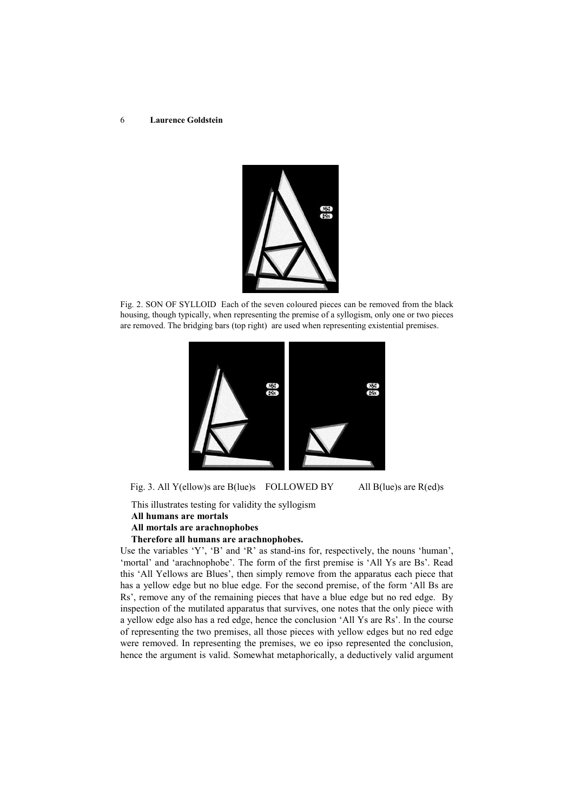

Fig. 2. SON OF SYLLOID Each of the seven coloured pieces can be removed from the black housing, though typically, when representing the premise of a syllogism, only one or two pieces are removed. The bridging bars (top right) are used when representing existential premises.



Fig. 3. All Y(ellow)s are B(lue)s FOLLOWED BY All B(lue)s are  $R(ed)s$ 

This illustrates testing for validity the syllogism

**All humans are mortals** 

**All mortals are arachnophobes** 

#### **Therefore all humans are arachnophobes.**

Use the variables 'Y', 'B' and 'R' as stand-ins for, respectively, the nouns 'human', 'mortal' and 'arachnophobe'. The form of the first premise is 'All Ys are Bs'. Read this 'All Yellows are Blues', then simply remove from the apparatus each piece that has a yellow edge but no blue edge. For the second premise, of the form 'All Bs are Rs', remove any of the remaining pieces that have a blue edge but no red edge. By inspection of the mutilated apparatus that survives, one notes that the only piece with a yellow edge also has a red edge, hence the conclusion 'All Ys are Rs'. In the course of representing the two premises, all those pieces with yellow edges but no red edge were removed. In representing the premises, we eo ipso represented the conclusion, hence the argument is valid. Somewhat metaphorically, a deductively valid argument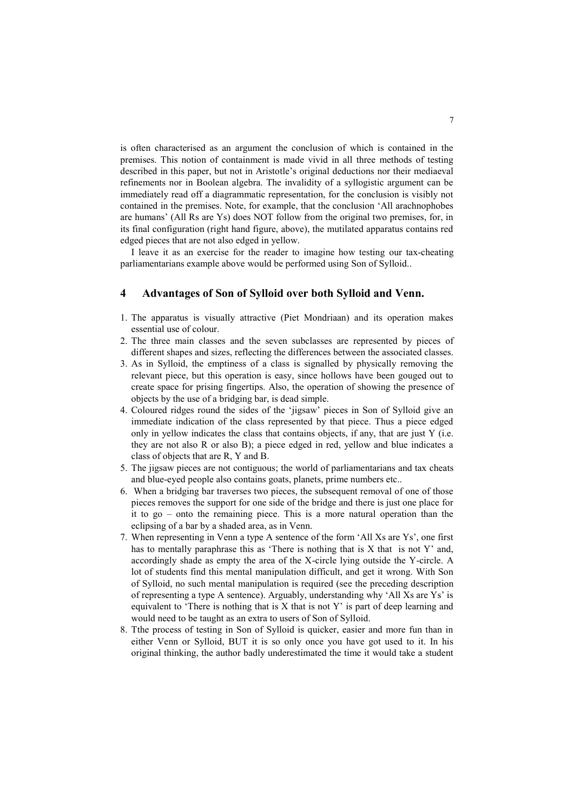is often characterised as an argument the conclusion of which is contained in the premises. This notion of containment is made vivid in all three methods of testing described in this paper, but not in Aristotle's original deductions nor their mediaeval refinements nor in Boolean algebra. The invalidity of a syllogistic argument can be immediately read off a diagrammatic representation, for the conclusion is visibly not contained in the premises. Note, for example, that the conclusion 'All arachnophobes are humans' (All Rs are Ys) does NOT follow from the original two premises, for, in its final configuration (right hand figure, above), the mutilated apparatus contains red edged pieces that are not also edged in yellow.

I leave it as an exercise for the reader to imagine how testing our tax-cheating parliamentarians example above would be performed using Son of Sylloid..

#### **4 Advantages of Son of Sylloid over both Sylloid and Venn.**

- 1. The apparatus is visually attractive (Piet Mondriaan) and its operation makes essential use of colour.
- 2. The three main classes and the seven subclasses are represented by pieces of different shapes and sizes, reflecting the differences between the associated classes.
- 3. As in Sylloid, the emptiness of a class is signalled by physically removing the relevant piece, but this operation is easy, since hollows have been gouged out to create space for prising fingertips. Also, the operation of showing the presence of objects by the use of a bridging bar, is dead simple.
- 4. Coloured ridges round the sides of the 'jigsaw' pieces in Son of Sylloid give an immediate indication of the class represented by that piece. Thus a piece edged only in yellow indicates the class that contains objects, if any, that are just Y (i.e. they are not also R or also B); a piece edged in red, yellow and blue indicates a class of objects that are R, Y and B.
- 5. The jigsaw pieces are not contiguous; the world of parliamentarians and tax cheats and blue-eyed people also contains goats, planets, prime numbers etc..
- 6. When a bridging bar traverses two pieces, the subsequent removal of one of those pieces removes the support for one side of the bridge and there is just one place for it to go – onto the remaining piece. This is a more natural operation than the eclipsing of a bar by a shaded area, as in Venn.
- 7. When representing in Venn a type A sentence of the form 'All Xs are Ys', one first has to mentally paraphrase this as 'There is nothing that is X that is not  $Y'$  and, accordingly shade as empty the area of the X-circle lying outside the Y-circle. A lot of students find this mental manipulation difficult, and get it wrong. With Son of Sylloid, no such mental manipulation is required (see the preceding description of representing a type A sentence). Arguably, understanding why 'All Xs are Ys' is equivalent to 'There is nothing that is X that is not Y' is part of deep learning and would need to be taught as an extra to users of Son of Sylloid.
- 8. Tthe process of testing in Son of Sylloid is quicker, easier and more fun than in either Venn or Sylloid, BUT it is so only once you have got used to it. In his original thinking, the author badly underestimated the time it would take a student